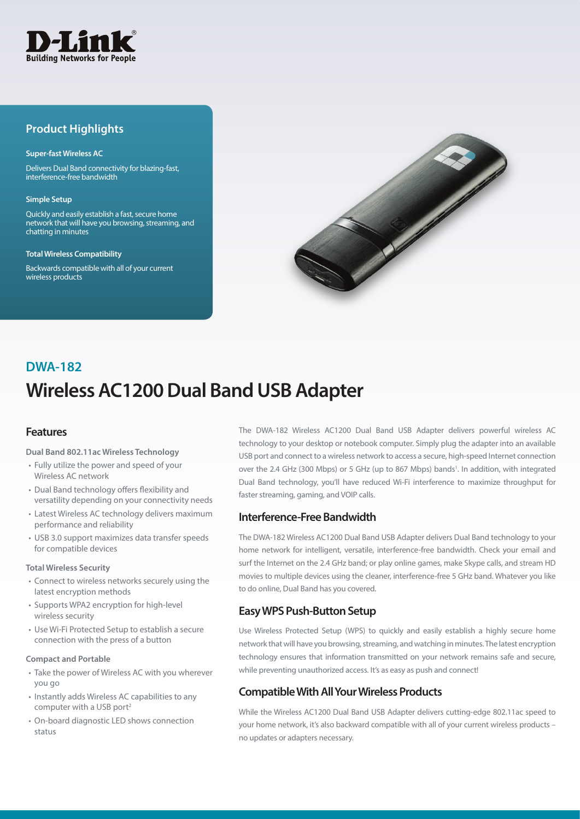

## **Product Highlights**

#### **Super-fast Wireless AC**

Delivers Dual Band connectivity for blazing-fast, interference-free bandwidth

#### **Simple Setup**

Quickly and easily establish a fast, secure home network that will have you browsing, streaming, and chatting in minutes

#### **Total Wireless Compatibility**

Backwards compatible with all of your current wireless products



# **Wireless AC1200 Dual Band USB Adapter DWA-182**

## **Features**

#### **Dual Band 802.11ac Wireless Technology**

- Fully utilize the power and speed of your Wireless AC network
- • Dual Band technology offers flexibility and versatility depending on your connectivity needs
- Latest Wireless AC technology delivers maximum performance and reliability
- USB 3.0 support maximizes data transfer speeds for compatible devices

#### **Total Wireless Security**

- Connect to wireless networks securely using the latest encryption methods
- • Supports WPA2 encryption for high-level wireless security
- • Use Wi-Fi Protected Setup to establish a secure connection with the press of a button

#### **Compact and Portable**

- Take the power of Wireless AC with you wherever you go
- Instantly adds Wireless AC capabilities to any computer with a USB port<sup>2</sup>
- • On-board diagnostic LED shows connection status

The DWA-182 Wireless AC1200 Dual Band USB Adapter delivers powerful wireless AC technology to your desktop or notebook computer. Simply plug the adapter into an available USB port and connect to a wireless network to access a secure, high-speed Internet connection over the 2.4 GHz (300 Mbps) or 5 GHz (up to 867 Mbps) bands<sup>1</sup>. In addition, with integrated Dual Band technology, you'll have reduced Wi-Fi interference to maximize throughput for faster streaming, gaming, and VOIP calls.

## **Interference-Free Bandwidth**

The DWA-182 Wireless AC1200 Dual Band USB Adapter delivers Dual Band technology to your home network for intelligent, versatile, interference-free bandwidth. Check your email and surf the Internet on the 2.4 GHz band; or play online games, make Skype calls, and stream HD movies to multiple devices using the cleaner, interference-free 5 GHz band. Whatever you like to do online, Dual Band has you covered.

## **Easy WPS Push-Button Setup**

Use Wireless Protected Setup (WPS) to quickly and easily establish a highly secure home network that will have you browsing, streaming, and watching in minutes. The latest encryption technology ensures that information transmitted on your network remains safe and secure, while preventing unauthorized access. It's as easy as push and connect!

## **Compatible With All Your Wireless Products**

While the Wireless AC1200 Dual Band USB Adapter delivers cutting-edge 802.11ac speed to your home network, it's also backward compatible with all of your current wireless products no updates or adapters necessary.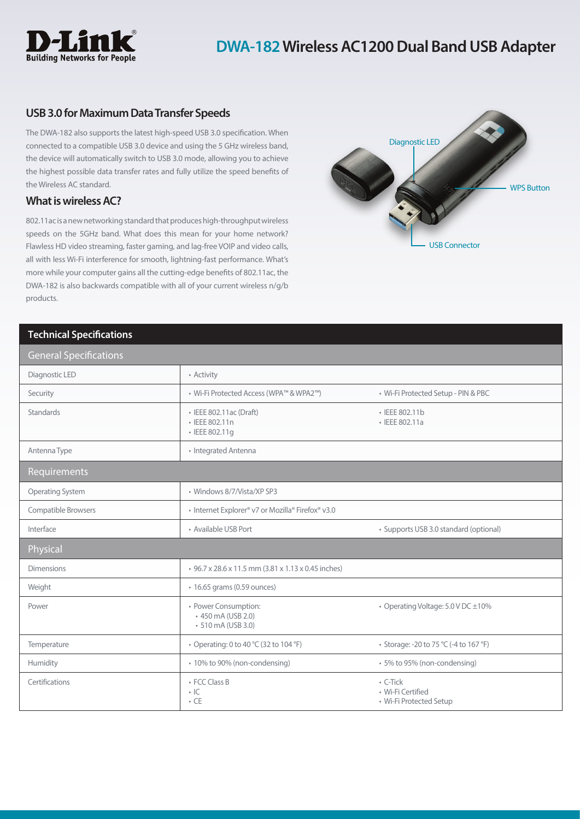

## **USB 3.0 for Maximum Data Transfer Speeds**

The DWA-182 also supports the latest high-speed USB 3.0 specification. When connected to a compatible USB 3.0 device and using the 5 GHz wireless band, the device will automatically switch to USB 3.0 mode, allowing you to achieve the highest possible data transfer rates and fully utilize the speed benefits of the Wireless AC standard.

## **What is wireless AC?**

802.11ac is a new networking standard that produces high-throughput wireless speeds on the 5GHz band. What does this mean for your home network? Flawless HD video streaming, faster gaming, and lag-free VOIP and video calls, all with less Wi-Fi interference for smooth, lightning-fast performance. What's more while your computer gains all the cutting-edge benefits of 802.11ac, the DWA-182 is also backwards compatible with all of your current wireless n/g/b products.



### **Technical Specifications**

| <b>General Specifications</b> |                                                                 |                                                                |
|-------------------------------|-----------------------------------------------------------------|----------------------------------------------------------------|
| Diagnostic LED                | • Activity                                                      |                                                                |
| Security                      | • Wi-Fi Protected Access (WPA™ & WPA2™)                         | · Wi-Fi Protected Setup - PIN & PBC                            |
| <b>Standards</b>              | • IEEE 802.11ac (Draft)<br>· IEEE 802.11n<br>· IEEE 802.11g     | · IEEE 802.11b<br>• IEEE 802.11a                               |
| Antenna Type                  | • Integrated Antenna                                            |                                                                |
| Requirements                  |                                                                 |                                                                |
| Operating System              | · Windows 8/7/Vista/XP SP3                                      |                                                                |
| Compatible Browsers           | • Internet Explorer® v7 or Mozilla® Firefox® v3.0               |                                                                |
| Interface                     | • Available USB Port                                            | · Supports USB 3.0 standard (optional)                         |
| Physical                      |                                                                 |                                                                |
| <b>Dimensions</b>             | • 96.7 x 28.6 x 11.5 mm (3.81 x 1.13 x 0.45 inches)             |                                                                |
| Weight                        | • 16.65 grams (0.59 ounces)                                     |                                                                |
| Power                         | • Power Consumption:<br>+450 mA (USB 2.0)<br>• 510 mA (USB 3.0) | • Operating Voltage: 5.0 V DC ±10%                             |
| Temperature                   | • Operating: 0 to 40 °C (32 to 104 °F)                          | • Storage: -20 to 75 °C (-4 to 167 °F)                         |
| Humidity                      | • 10% to 90% (non-condensing)                                   | · 5% to 95% (non-condensing)                                   |
| Certifications                | • FCC Class B<br>$\cdot$ IC<br>$\cdot$ CE                       | $\cdot$ C-Tick<br>· Wi-Fi Certified<br>• Wi-Fi Protected Setup |